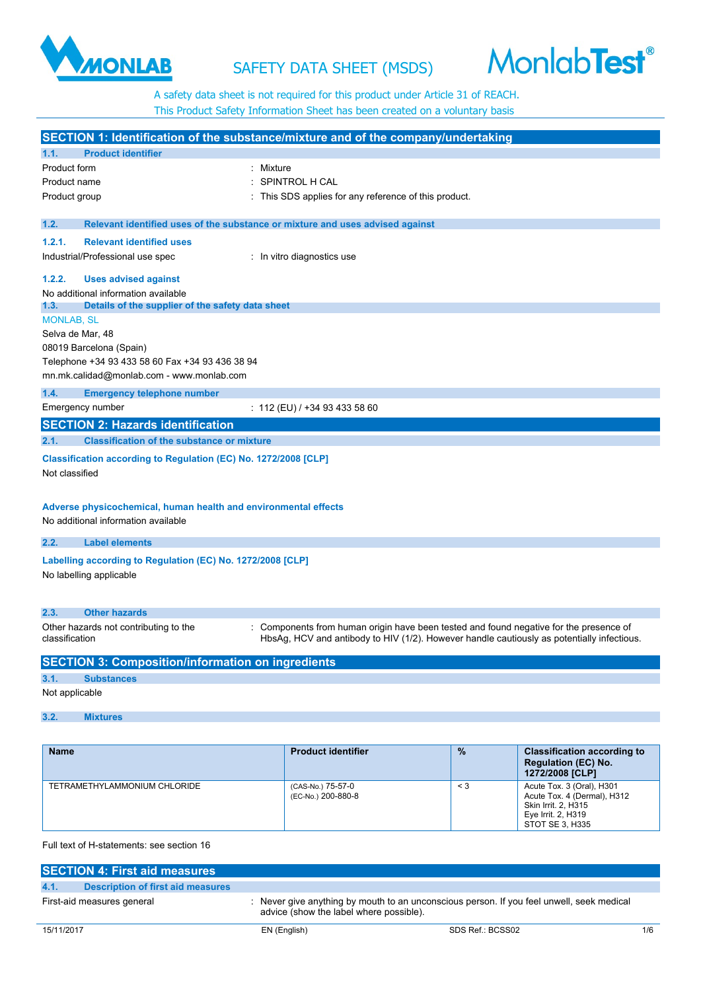# SAFETY DATA SHEET (MSDS)

A safety data sheet is not required for this product under Article 31 of REACH. This Product Safety Information Sheet has been created on a voluntary basis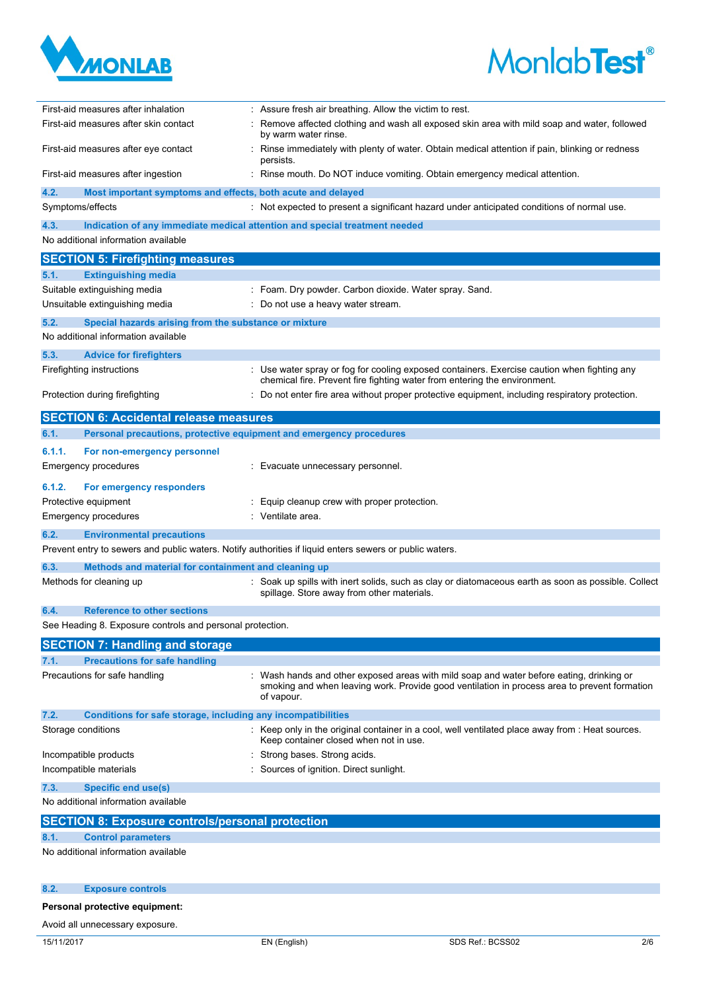



| First-aid measures after inhalation                                         | : Assure fresh air breathing. Allow the victim to rest.                                                                                                                                                |
|-----------------------------------------------------------------------------|--------------------------------------------------------------------------------------------------------------------------------------------------------------------------------------------------------|
| First-aid measures after skin contact                                       | Remove affected clothing and wash all exposed skin area with mild soap and water, followed<br>by warm water rinse.                                                                                     |
| First-aid measures after eye contact                                        | Rinse immediately with plenty of water. Obtain medical attention if pain, blinking or redness<br>persists.                                                                                             |
| First-aid measures after ingestion                                          | : Rinse mouth. Do NOT induce vomiting. Obtain emergency medical attention.                                                                                                                             |
| 4.2.<br>Most important symptoms and effects, both acute and delayed         |                                                                                                                                                                                                        |
| Symptoms/effects                                                            | : Not expected to present a significant hazard under anticipated conditions of normal use.                                                                                                             |
| 4.3.                                                                        | Indication of any immediate medical attention and special treatment needed                                                                                                                             |
| No additional information available                                         |                                                                                                                                                                                                        |
| <b>SECTION 5: Firefighting measures</b>                                     |                                                                                                                                                                                                        |
| 5.1.<br><b>Extinguishing media</b>                                          |                                                                                                                                                                                                        |
| Suitable extinguishing media                                                | Foam. Dry powder. Carbon dioxide. Water spray. Sand.                                                                                                                                                   |
| Unsuitable extinguishing media                                              | Do not use a heavy water stream.                                                                                                                                                                       |
| 5.2.<br>Special hazards arising from the substance or mixture               |                                                                                                                                                                                                        |
| No additional information available                                         |                                                                                                                                                                                                        |
| 5.3.<br><b>Advice for firefighters</b>                                      |                                                                                                                                                                                                        |
| Firefighting instructions                                                   | : Use water spray or fog for cooling exposed containers. Exercise caution when fighting any<br>chemical fire. Prevent fire fighting water from entering the environment.                               |
| Protection during firefighting                                              | Do not enter fire area without proper protective equipment, including respiratory protection.                                                                                                          |
| <b>SECTION 6: Accidental release measures</b>                               |                                                                                                                                                                                                        |
| 6.1.<br>Personal precautions, protective equipment and emergency procedures |                                                                                                                                                                                                        |
| 6.1.1.<br>For non-emergency personnel                                       |                                                                                                                                                                                                        |
| Emergency procedures                                                        | Evacuate unnecessary personnel.                                                                                                                                                                        |
| 6.1.2.<br>For emergency responders                                          |                                                                                                                                                                                                        |
| Protective equipment                                                        | Equip cleanup crew with proper protection.                                                                                                                                                             |
| <b>Emergency procedures</b>                                                 | Ventilate area.                                                                                                                                                                                        |
| 6.2.<br><b>Environmental precautions</b>                                    |                                                                                                                                                                                                        |
|                                                                             | Prevent entry to sewers and public waters. Notify authorities if liquid enters sewers or public waters.                                                                                                |
| 6.3.<br>Methods and material for containment and cleaning up                |                                                                                                                                                                                                        |
| Methods for cleaning up                                                     | : Soak up spills with inert solids, such as clay or diatomaceous earth as soon as possible. Collect<br>spillage. Store away from other materials.                                                      |
| <b>Reference to other sections</b><br>6.4.                                  |                                                                                                                                                                                                        |
| See Heading 8. Exposure controls and personal protection.                   |                                                                                                                                                                                                        |
| <b>SECTION 7: Handling and storage</b>                                      |                                                                                                                                                                                                        |
| <b>Precautions for safe handling</b><br>7.1.                                |                                                                                                                                                                                                        |
| Precautions for safe handling                                               | : Wash hands and other exposed areas with mild soap and water before eating, drinking or<br>smoking and when leaving work. Provide good ventilation in process area to prevent formation<br>of vapour. |
| 7.2.<br>Conditions for safe storage, including any incompatibilities        |                                                                                                                                                                                                        |
| Storage conditions                                                          | : Keep only in the original container in a cool, well ventilated place away from : Heat sources.<br>Keep container closed when not in use.                                                             |
| Incompatible products                                                       | Strong bases. Strong acids.                                                                                                                                                                            |
| Incompatible materials                                                      | Sources of ignition. Direct sunlight.                                                                                                                                                                  |
| 7.3.<br><b>Specific end use(s)</b>                                          |                                                                                                                                                                                                        |
| No additional information available                                         |                                                                                                                                                                                                        |
| <b>SECTION 8: Exposure controls/personal protection</b>                     |                                                                                                                                                                                                        |
| <b>Control parameters</b><br>8.1.                                           |                                                                                                                                                                                                        |
| No additional information available                                         |                                                                                                                                                                                                        |
| 8.2.<br><b>Exposure controls</b>                                            |                                                                                                                                                                                                        |
| Personal protective equipment:                                              |                                                                                                                                                                                                        |

# Avoid all unnecessary exposure.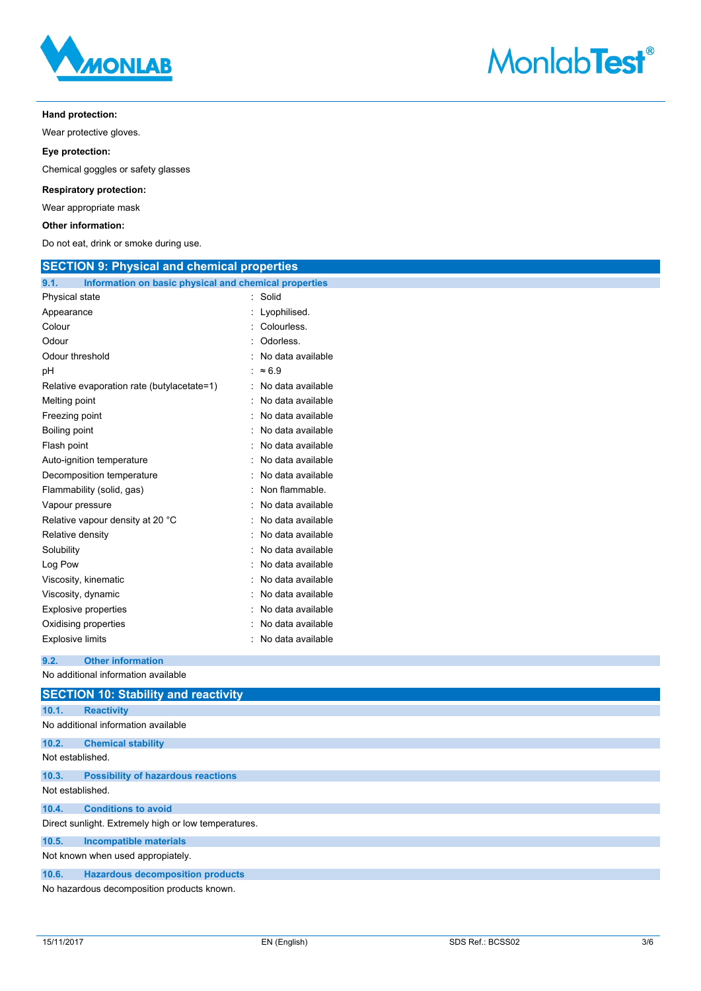



# **Hand protection:**

Wear protective gloves.

**Eye protection:**

Chemical goggles or safety glasses

# **Respiratory protection:**

Wear appropriate mask

# **Other information:**

Do not eat, drink or smoke during use.

| <b>SECTION 9: Physical and chemical properties</b>            |                   |  |
|---------------------------------------------------------------|-------------------|--|
| Information on basic physical and chemical properties<br>9.1. |                   |  |
| Physical state                                                | : Solid           |  |
| Appearance                                                    | Lyophilised.<br>÷ |  |
| Colour                                                        | Colourless.<br>۰  |  |
| Odour                                                         | Odorless.         |  |
| Odour threshold                                               | No data available |  |
| pH                                                            | : $\approx 6.9$   |  |
| Relative evaporation rate (butylacetate=1)                    | No data available |  |
| Melting point                                                 | No data available |  |
| Freezing point                                                | No data available |  |
| Boiling point                                                 | No data available |  |
| Flash point                                                   | No data available |  |
| Auto-ignition temperature                                     | No data available |  |
| Decomposition temperature                                     | No data available |  |
| Flammability (solid, gas)                                     | Non flammable.    |  |
| Vapour pressure                                               | No data available |  |
| Relative vapour density at 20 °C                              | No data available |  |
| Relative density                                              | No data available |  |
| Solubility                                                    | No data available |  |
| Log Pow                                                       | No data available |  |
| Viscosity, kinematic                                          | No data available |  |
| Viscosity, dynamic                                            | No data available |  |
| <b>Explosive properties</b>                                   | No data available |  |
| Oxidising properties                                          | No data available |  |
| <b>Explosive limits</b>                                       | No data available |  |
| <b>Other information</b><br>9.2.                              |                   |  |
| No additional information available                           |                   |  |
| <b>SECTION 10: Stability and reactivity</b>                   |                   |  |
| 10.1.<br><b>Reactivity</b>                                    |                   |  |
| No additional information available                           |                   |  |
| 10.2.<br><b>Chemical stability</b>                            |                   |  |
| Not established.                                              |                   |  |
| 10.3.<br><b>Possibility of hazardous reactions</b>            |                   |  |
| Not established.                                              |                   |  |
| <b>Conditions to avoid</b><br>10.4.                           |                   |  |
| Direct sunlight. Extremely high or low temperatures.          |                   |  |
| 10.5.<br><b>Incompatible materials</b>                        |                   |  |
| Not known when used appropiately.                             |                   |  |
| 10.6.<br><b>Hazardous decomposition products</b>              |                   |  |

No hazardous decomposition products known.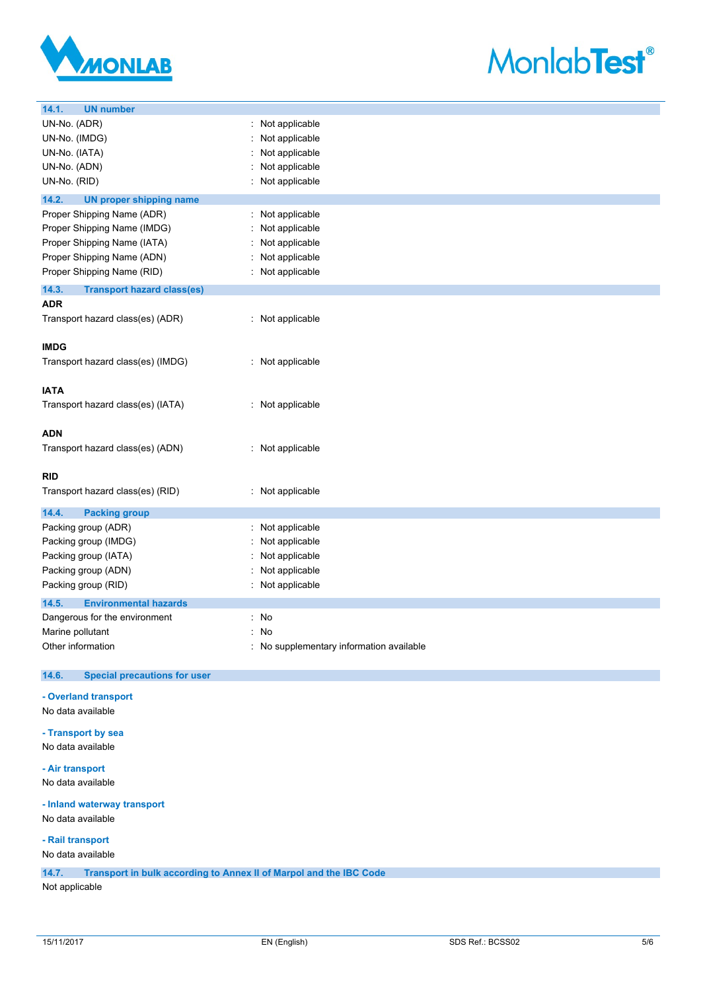



| UN-No. (ADR)<br>: Not applicable<br>UN-No. (IMDG)<br>Not applicable<br>UN-No. (IATA)<br>Not applicable<br>UN-No. (ADN)<br>Not applicable<br>UN-No. (RID)<br>Not applicable<br>14.2.<br><b>UN proper shipping name</b><br>Proper Shipping Name (ADR)<br>Not applicable<br>Proper Shipping Name (IMDG)<br>Not applicable<br>Proper Shipping Name (IATA)<br>Not applicable<br>Proper Shipping Name (ADN)<br>Not applicable<br>Proper Shipping Name (RID)<br>: Not applicable<br>14.3.<br><b>Transport hazard class(es)</b><br><b>ADR</b><br>: Not applicable<br>Transport hazard class(es) (ADR)<br><b>IMDG</b><br>Transport hazard class(es) (IMDG)<br>: Not applicable<br><b>IATA</b><br>Transport hazard class(es) (IATA)<br>: Not applicable<br><b>ADN</b><br>Transport hazard class(es) (ADN)<br>: Not applicable<br><b>RID</b><br>Transport hazard class(es) (RID)<br>: Not applicable<br>14.4.<br><b>Packing group</b><br>Packing group (ADR)<br>Not applicable<br>Packing group (IMDG)<br>Not applicable<br>Not applicable<br>Packing group (IATA)<br>Packing group (ADN)<br>Not applicable<br>Packing group (RID)<br>Not applicable<br>14.5.<br><b>Environmental hazards</b><br>Dangerous for the environment<br>: No<br>Marine pollutant<br>: No<br>Other information<br>: No supplementary information available<br><b>Special precautions for user</b><br>14.6.<br>- Overland transport<br>No data available<br>- Transport by sea<br>No data available<br>- Air transport<br>No data available<br>- Inland waterway transport<br>No data available<br>- Rail transport<br>No data available | 14.1.<br><b>UN number</b> |  |
|-------------------------------------------------------------------------------------------------------------------------------------------------------------------------------------------------------------------------------------------------------------------------------------------------------------------------------------------------------------------------------------------------------------------------------------------------------------------------------------------------------------------------------------------------------------------------------------------------------------------------------------------------------------------------------------------------------------------------------------------------------------------------------------------------------------------------------------------------------------------------------------------------------------------------------------------------------------------------------------------------------------------------------------------------------------------------------------------------------------------------------------------------------------------------------------------------------------------------------------------------------------------------------------------------------------------------------------------------------------------------------------------------------------------------------------------------------------------------------------------------------------------------------------------------------------------------------------------------------|---------------------------|--|
|                                                                                                                                                                                                                                                                                                                                                                                                                                                                                                                                                                                                                                                                                                                                                                                                                                                                                                                                                                                                                                                                                                                                                                                                                                                                                                                                                                                                                                                                                                                                                                                                       |                           |  |
|                                                                                                                                                                                                                                                                                                                                                                                                                                                                                                                                                                                                                                                                                                                                                                                                                                                                                                                                                                                                                                                                                                                                                                                                                                                                                                                                                                                                                                                                                                                                                                                                       |                           |  |
|                                                                                                                                                                                                                                                                                                                                                                                                                                                                                                                                                                                                                                                                                                                                                                                                                                                                                                                                                                                                                                                                                                                                                                                                                                                                                                                                                                                                                                                                                                                                                                                                       |                           |  |
|                                                                                                                                                                                                                                                                                                                                                                                                                                                                                                                                                                                                                                                                                                                                                                                                                                                                                                                                                                                                                                                                                                                                                                                                                                                                                                                                                                                                                                                                                                                                                                                                       |                           |  |
|                                                                                                                                                                                                                                                                                                                                                                                                                                                                                                                                                                                                                                                                                                                                                                                                                                                                                                                                                                                                                                                                                                                                                                                                                                                                                                                                                                                                                                                                                                                                                                                                       |                           |  |
|                                                                                                                                                                                                                                                                                                                                                                                                                                                                                                                                                                                                                                                                                                                                                                                                                                                                                                                                                                                                                                                                                                                                                                                                                                                                                                                                                                                                                                                                                                                                                                                                       |                           |  |
|                                                                                                                                                                                                                                                                                                                                                                                                                                                                                                                                                                                                                                                                                                                                                                                                                                                                                                                                                                                                                                                                                                                                                                                                                                                                                                                                                                                                                                                                                                                                                                                                       |                           |  |
|                                                                                                                                                                                                                                                                                                                                                                                                                                                                                                                                                                                                                                                                                                                                                                                                                                                                                                                                                                                                                                                                                                                                                                                                                                                                                                                                                                                                                                                                                                                                                                                                       |                           |  |
|                                                                                                                                                                                                                                                                                                                                                                                                                                                                                                                                                                                                                                                                                                                                                                                                                                                                                                                                                                                                                                                                                                                                                                                                                                                                                                                                                                                                                                                                                                                                                                                                       |                           |  |
|                                                                                                                                                                                                                                                                                                                                                                                                                                                                                                                                                                                                                                                                                                                                                                                                                                                                                                                                                                                                                                                                                                                                                                                                                                                                                                                                                                                                                                                                                                                                                                                                       |                           |  |
|                                                                                                                                                                                                                                                                                                                                                                                                                                                                                                                                                                                                                                                                                                                                                                                                                                                                                                                                                                                                                                                                                                                                                                                                                                                                                                                                                                                                                                                                                                                                                                                                       |                           |  |
|                                                                                                                                                                                                                                                                                                                                                                                                                                                                                                                                                                                                                                                                                                                                                                                                                                                                                                                                                                                                                                                                                                                                                                                                                                                                                                                                                                                                                                                                                                                                                                                                       |                           |  |
|                                                                                                                                                                                                                                                                                                                                                                                                                                                                                                                                                                                                                                                                                                                                                                                                                                                                                                                                                                                                                                                                                                                                                                                                                                                                                                                                                                                                                                                                                                                                                                                                       |                           |  |
|                                                                                                                                                                                                                                                                                                                                                                                                                                                                                                                                                                                                                                                                                                                                                                                                                                                                                                                                                                                                                                                                                                                                                                                                                                                                                                                                                                                                                                                                                                                                                                                                       |                           |  |
|                                                                                                                                                                                                                                                                                                                                                                                                                                                                                                                                                                                                                                                                                                                                                                                                                                                                                                                                                                                                                                                                                                                                                                                                                                                                                                                                                                                                                                                                                                                                                                                                       |                           |  |
|                                                                                                                                                                                                                                                                                                                                                                                                                                                                                                                                                                                                                                                                                                                                                                                                                                                                                                                                                                                                                                                                                                                                                                                                                                                                                                                                                                                                                                                                                                                                                                                                       |                           |  |
|                                                                                                                                                                                                                                                                                                                                                                                                                                                                                                                                                                                                                                                                                                                                                                                                                                                                                                                                                                                                                                                                                                                                                                                                                                                                                                                                                                                                                                                                                                                                                                                                       |                           |  |
|                                                                                                                                                                                                                                                                                                                                                                                                                                                                                                                                                                                                                                                                                                                                                                                                                                                                                                                                                                                                                                                                                                                                                                                                                                                                                                                                                                                                                                                                                                                                                                                                       |                           |  |
|                                                                                                                                                                                                                                                                                                                                                                                                                                                                                                                                                                                                                                                                                                                                                                                                                                                                                                                                                                                                                                                                                                                                                                                                                                                                                                                                                                                                                                                                                                                                                                                                       |                           |  |
|                                                                                                                                                                                                                                                                                                                                                                                                                                                                                                                                                                                                                                                                                                                                                                                                                                                                                                                                                                                                                                                                                                                                                                                                                                                                                                                                                                                                                                                                                                                                                                                                       |                           |  |
|                                                                                                                                                                                                                                                                                                                                                                                                                                                                                                                                                                                                                                                                                                                                                                                                                                                                                                                                                                                                                                                                                                                                                                                                                                                                                                                                                                                                                                                                                                                                                                                                       |                           |  |
|                                                                                                                                                                                                                                                                                                                                                                                                                                                                                                                                                                                                                                                                                                                                                                                                                                                                                                                                                                                                                                                                                                                                                                                                                                                                                                                                                                                                                                                                                                                                                                                                       |                           |  |
|                                                                                                                                                                                                                                                                                                                                                                                                                                                                                                                                                                                                                                                                                                                                                                                                                                                                                                                                                                                                                                                                                                                                                                                                                                                                                                                                                                                                                                                                                                                                                                                                       |                           |  |
|                                                                                                                                                                                                                                                                                                                                                                                                                                                                                                                                                                                                                                                                                                                                                                                                                                                                                                                                                                                                                                                                                                                                                                                                                                                                                                                                                                                                                                                                                                                                                                                                       |                           |  |
|                                                                                                                                                                                                                                                                                                                                                                                                                                                                                                                                                                                                                                                                                                                                                                                                                                                                                                                                                                                                                                                                                                                                                                                                                                                                                                                                                                                                                                                                                                                                                                                                       |                           |  |
|                                                                                                                                                                                                                                                                                                                                                                                                                                                                                                                                                                                                                                                                                                                                                                                                                                                                                                                                                                                                                                                                                                                                                                                                                                                                                                                                                                                                                                                                                                                                                                                                       |                           |  |
|                                                                                                                                                                                                                                                                                                                                                                                                                                                                                                                                                                                                                                                                                                                                                                                                                                                                                                                                                                                                                                                                                                                                                                                                                                                                                                                                                                                                                                                                                                                                                                                                       |                           |  |
|                                                                                                                                                                                                                                                                                                                                                                                                                                                                                                                                                                                                                                                                                                                                                                                                                                                                                                                                                                                                                                                                                                                                                                                                                                                                                                                                                                                                                                                                                                                                                                                                       |                           |  |
|                                                                                                                                                                                                                                                                                                                                                                                                                                                                                                                                                                                                                                                                                                                                                                                                                                                                                                                                                                                                                                                                                                                                                                                                                                                                                                                                                                                                                                                                                                                                                                                                       |                           |  |
|                                                                                                                                                                                                                                                                                                                                                                                                                                                                                                                                                                                                                                                                                                                                                                                                                                                                                                                                                                                                                                                                                                                                                                                                                                                                                                                                                                                                                                                                                                                                                                                                       |                           |  |
|                                                                                                                                                                                                                                                                                                                                                                                                                                                                                                                                                                                                                                                                                                                                                                                                                                                                                                                                                                                                                                                                                                                                                                                                                                                                                                                                                                                                                                                                                                                                                                                                       |                           |  |
|                                                                                                                                                                                                                                                                                                                                                                                                                                                                                                                                                                                                                                                                                                                                                                                                                                                                                                                                                                                                                                                                                                                                                                                                                                                                                                                                                                                                                                                                                                                                                                                                       |                           |  |
|                                                                                                                                                                                                                                                                                                                                                                                                                                                                                                                                                                                                                                                                                                                                                                                                                                                                                                                                                                                                                                                                                                                                                                                                                                                                                                                                                                                                                                                                                                                                                                                                       |                           |  |
|                                                                                                                                                                                                                                                                                                                                                                                                                                                                                                                                                                                                                                                                                                                                                                                                                                                                                                                                                                                                                                                                                                                                                                                                                                                                                                                                                                                                                                                                                                                                                                                                       |                           |  |
|                                                                                                                                                                                                                                                                                                                                                                                                                                                                                                                                                                                                                                                                                                                                                                                                                                                                                                                                                                                                                                                                                                                                                                                                                                                                                                                                                                                                                                                                                                                                                                                                       |                           |  |
|                                                                                                                                                                                                                                                                                                                                                                                                                                                                                                                                                                                                                                                                                                                                                                                                                                                                                                                                                                                                                                                                                                                                                                                                                                                                                                                                                                                                                                                                                                                                                                                                       |                           |  |
|                                                                                                                                                                                                                                                                                                                                                                                                                                                                                                                                                                                                                                                                                                                                                                                                                                                                                                                                                                                                                                                                                                                                                                                                                                                                                                                                                                                                                                                                                                                                                                                                       |                           |  |
|                                                                                                                                                                                                                                                                                                                                                                                                                                                                                                                                                                                                                                                                                                                                                                                                                                                                                                                                                                                                                                                                                                                                                                                                                                                                                                                                                                                                                                                                                                                                                                                                       |                           |  |
|                                                                                                                                                                                                                                                                                                                                                                                                                                                                                                                                                                                                                                                                                                                                                                                                                                                                                                                                                                                                                                                                                                                                                                                                                                                                                                                                                                                                                                                                                                                                                                                                       |                           |  |
|                                                                                                                                                                                                                                                                                                                                                                                                                                                                                                                                                                                                                                                                                                                                                                                                                                                                                                                                                                                                                                                                                                                                                                                                                                                                                                                                                                                                                                                                                                                                                                                                       |                           |  |
|                                                                                                                                                                                                                                                                                                                                                                                                                                                                                                                                                                                                                                                                                                                                                                                                                                                                                                                                                                                                                                                                                                                                                                                                                                                                                                                                                                                                                                                                                                                                                                                                       |                           |  |
|                                                                                                                                                                                                                                                                                                                                                                                                                                                                                                                                                                                                                                                                                                                                                                                                                                                                                                                                                                                                                                                                                                                                                                                                                                                                                                                                                                                                                                                                                                                                                                                                       |                           |  |
|                                                                                                                                                                                                                                                                                                                                                                                                                                                                                                                                                                                                                                                                                                                                                                                                                                                                                                                                                                                                                                                                                                                                                                                                                                                                                                                                                                                                                                                                                                                                                                                                       |                           |  |
|                                                                                                                                                                                                                                                                                                                                                                                                                                                                                                                                                                                                                                                                                                                                                                                                                                                                                                                                                                                                                                                                                                                                                                                                                                                                                                                                                                                                                                                                                                                                                                                                       |                           |  |
|                                                                                                                                                                                                                                                                                                                                                                                                                                                                                                                                                                                                                                                                                                                                                                                                                                                                                                                                                                                                                                                                                                                                                                                                                                                                                                                                                                                                                                                                                                                                                                                                       |                           |  |
|                                                                                                                                                                                                                                                                                                                                                                                                                                                                                                                                                                                                                                                                                                                                                                                                                                                                                                                                                                                                                                                                                                                                                                                                                                                                                                                                                                                                                                                                                                                                                                                                       |                           |  |
|                                                                                                                                                                                                                                                                                                                                                                                                                                                                                                                                                                                                                                                                                                                                                                                                                                                                                                                                                                                                                                                                                                                                                                                                                                                                                                                                                                                                                                                                                                                                                                                                       |                           |  |
|                                                                                                                                                                                                                                                                                                                                                                                                                                                                                                                                                                                                                                                                                                                                                                                                                                                                                                                                                                                                                                                                                                                                                                                                                                                                                                                                                                                                                                                                                                                                                                                                       |                           |  |
|                                                                                                                                                                                                                                                                                                                                                                                                                                                                                                                                                                                                                                                                                                                                                                                                                                                                                                                                                                                                                                                                                                                                                                                                                                                                                                                                                                                                                                                                                                                                                                                                       |                           |  |
|                                                                                                                                                                                                                                                                                                                                                                                                                                                                                                                                                                                                                                                                                                                                                                                                                                                                                                                                                                                                                                                                                                                                                                                                                                                                                                                                                                                                                                                                                                                                                                                                       |                           |  |
|                                                                                                                                                                                                                                                                                                                                                                                                                                                                                                                                                                                                                                                                                                                                                                                                                                                                                                                                                                                                                                                                                                                                                                                                                                                                                                                                                                                                                                                                                                                                                                                                       |                           |  |
|                                                                                                                                                                                                                                                                                                                                                                                                                                                                                                                                                                                                                                                                                                                                                                                                                                                                                                                                                                                                                                                                                                                                                                                                                                                                                                                                                                                                                                                                                                                                                                                                       |                           |  |
|                                                                                                                                                                                                                                                                                                                                                                                                                                                                                                                                                                                                                                                                                                                                                                                                                                                                                                                                                                                                                                                                                                                                                                                                                                                                                                                                                                                                                                                                                                                                                                                                       |                           |  |
|                                                                                                                                                                                                                                                                                                                                                                                                                                                                                                                                                                                                                                                                                                                                                                                                                                                                                                                                                                                                                                                                                                                                                                                                                                                                                                                                                                                                                                                                                                                                                                                                       |                           |  |
|                                                                                                                                                                                                                                                                                                                                                                                                                                                                                                                                                                                                                                                                                                                                                                                                                                                                                                                                                                                                                                                                                                                                                                                                                                                                                                                                                                                                                                                                                                                                                                                                       |                           |  |

**14.7. Transport in bulk according to Annex II of Marpol and the IBC** 

Not applicable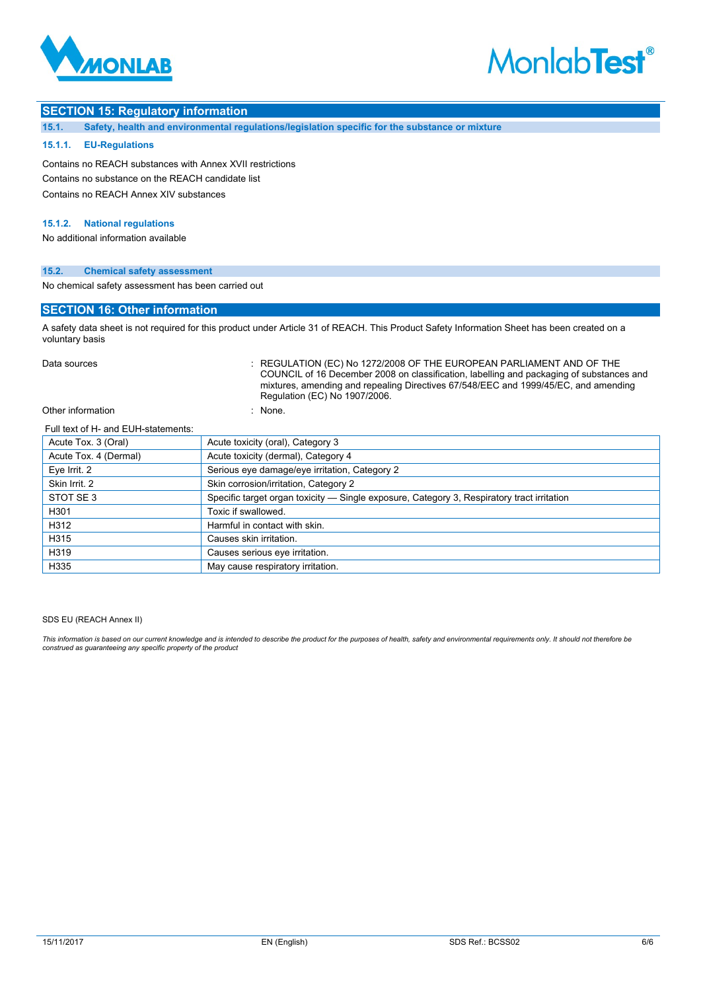

# **MonlabTest®**

# **SECTION 15: Regulatory information**

**15.1. Safety, health and environmental regulations/legislation specific for the substance or mixture**

## **15.1.1. EU-Regulations**

Contains no REACH substances with Annex XVII restrictions Contains no substance on the REACH candidate list Contains no REACH Annex XIV substances

# **15.1.2. National regulations**

No additional information available

# **15.2. Chemical safety assessment**

No chemical safety assessment has been carried out

# **SECTION 16: Other information**

A safety data sheet is not required for this product under Article 31 of REACH. This Product Safety Information Sheet has been created on a voluntary basis

Data sources **Superint Studies : REGULATION (EC) No 1272/2008 OF THE EUROPEAN PARLIAMENT AND OF THE** COUNCIL of 16 December 2008 on classification, labelling and packaging of substances and mixtures, amending and repealing Directives 67/548/EEC and 1999/45/EC, and amending Regulation (EC) No 1907/2006.

# Other information

| inone. |  |
|--------|--|
|        |  |
|        |  |
|        |  |

#### Full text of H- and EUH-statements:

| Acute Tox. 3 (Oral)   | Acute toxicity (oral), Category 3                                                          |
|-----------------------|--------------------------------------------------------------------------------------------|
| Acute Tox. 4 (Dermal) | Acute toxicity (dermal), Category 4                                                        |
| Eye Irrit. 2          | Serious eye damage/eye irritation, Category 2                                              |
| Skin Irrit. 2         | Skin corrosion/irritation, Category 2                                                      |
| STOT SE3              | Specific target organ toxicity — Single exposure, Category 3, Respiratory tract irritation |
| H301                  | Toxic if swallowed.                                                                        |
| H312                  | Harmful in contact with skin.                                                              |
| H315                  | Causes skin irritation.                                                                    |
| H319                  | Causes serious eye irritation.                                                             |
| H335                  | May cause respiratory irritation.                                                          |

#### SDS EU (REACH Annex II)

*This information is based on our current knowledge and is intended to describe the product for the purposes of health, safety and environmental requirements only. It should not therefore be construed as guaranteeing any specific property of the product*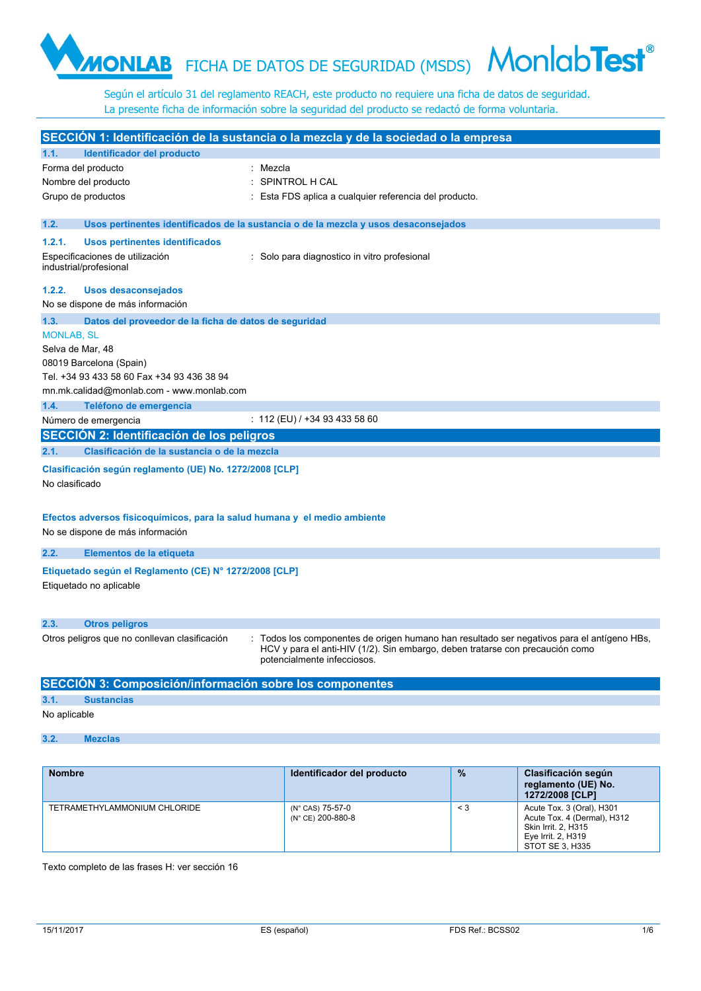# FICHA DE DATOS DE SEGURIDAD (MSDS)

Según el artículo 31 del reglamento REACH, este producto no requiere una ficha de datos de seguridad. La presente ficha de información sobre la seguridad del producto se redactó de forma voluntaria.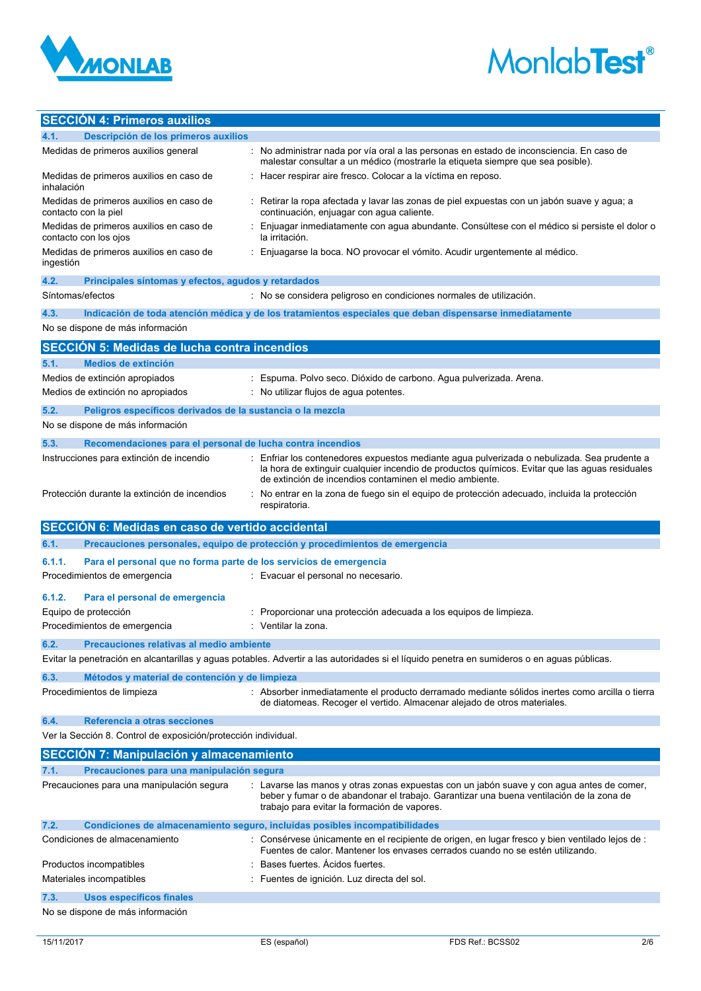



# **SECCIÓN 4: Primeros auxilios**

|                  | <b>OCULTUR 4. FIBRIOS QUATION</b>                                                            |                                                                                                                                                                                                                                      |
|------------------|----------------------------------------------------------------------------------------------|--------------------------------------------------------------------------------------------------------------------------------------------------------------------------------------------------------------------------------------|
| 4.1.             | Descripción de los primeros auxilios                                                         |                                                                                                                                                                                                                                      |
|                  | Medidas de primeros auxilios general                                                         | : No administrar nada por vía oral a las personas en estado de inconsciencia. En caso de<br>malestar consultar a un médico (mostrarle la etiqueta siempre que sea posible).                                                          |
| inhalación       | Medidas de primeros auxilios en caso de                                                      | Hacer respirar aire fresco. Colocar a la víctima en reposo.                                                                                                                                                                          |
|                  | Medidas de primeros auxilios en caso de<br>contacto con la piel                              | : Retirar la ropa afectada y lavar las zonas de piel expuestas con un jabón suave y agua; a<br>continuación, enjuagar con agua caliente.                                                                                             |
|                  | Medidas de primeros auxilios en caso de<br>contacto con los ojos                             | Enjuagar inmediatamente con agua abundante. Consúltese con el médico si persiste el dolor o<br>la irritación.                                                                                                                        |
| ingestión        | Medidas de primeros auxilios en caso de                                                      | Enjuagarse la boca. NO provocar el vómito. Acudir urgentemente al médico.                                                                                                                                                            |
| 4.2.             | Principales síntomas y efectos, agudos y retardados                                          |                                                                                                                                                                                                                                      |
| Síntomas/efectos |                                                                                              | : No se considera peligroso en condiciones normales de utilización.                                                                                                                                                                  |
| 4.3.             |                                                                                              | Indicación de toda atención médica y de los tratamientos especiales que deban dispensarse inmediatamente                                                                                                                             |
|                  | No se dispone de más información                                                             |                                                                                                                                                                                                                                      |
|                  |                                                                                              |                                                                                                                                                                                                                                      |
|                  | <b>SECCION 5: Medidas de lucha contra incendios</b>                                          |                                                                                                                                                                                                                                      |
| 5.1.             | <b>Medios de extinción</b>                                                                   |                                                                                                                                                                                                                                      |
|                  | Medios de extinción apropiados                                                               | Espuma. Polvo seco. Dióxido de carbono. Agua pulverizada. Arena.                                                                                                                                                                     |
|                  | Medios de extinción no apropiados                                                            | : No utilizar flujos de agua potentes.                                                                                                                                                                                               |
| 5.2.             | Peligros específicos derivados de la sustancia o la mezcla                                   |                                                                                                                                                                                                                                      |
|                  | No se dispone de más información                                                             |                                                                                                                                                                                                                                      |
| 5.3.             | Recomendaciones para el personal de lucha contra incendios                                   |                                                                                                                                                                                                                                      |
|                  | Instrucciones para extinción de incendio                                                     | Enfriar los contenedores expuestos mediante agua pulverizada o nebulizada. Sea prudente a                                                                                                                                            |
|                  |                                                                                              | la hora de extinguir cualquier incendio de productos químicos. Evitar que las aguas residuales<br>de extinción de incendios contaminen el medio ambiente.                                                                            |
|                  | Protección durante la extinción de incendios                                                 | No entrar en la zona de fuego sin el equipo de protección adecuado, incluida la protección<br>respiratoria.                                                                                                                          |
|                  |                                                                                              |                                                                                                                                                                                                                                      |
|                  |                                                                                              |                                                                                                                                                                                                                                      |
|                  | SECCIÓN 6: Medidas en caso de vertido accidental                                             |                                                                                                                                                                                                                                      |
| 6.1.             |                                                                                              | Precauciones personales, equipo de protección y procedimientos de emergencia                                                                                                                                                         |
| 6.1.1.           | Para el personal que no forma parte de los servicios de emergencia                           |                                                                                                                                                                                                                                      |
|                  | Procedimientos de emergencia                                                                 | : Evacuar el personal no necesario.                                                                                                                                                                                                  |
| 6.1.2.           | Para el personal de emergencia                                                               |                                                                                                                                                                                                                                      |
|                  | Equipo de protección                                                                         | Proporcionar una protección adecuada a los equipos de limpieza.                                                                                                                                                                      |
|                  | Procedimientos de emergencia                                                                 | Ventilar la zona.                                                                                                                                                                                                                    |
|                  |                                                                                              |                                                                                                                                                                                                                                      |
| 6.2.             | Precauciones relativas al medio ambiente                                                     |                                                                                                                                                                                                                                      |
|                  |                                                                                              | Evitar la penetración en alcantarillas y aguas potables. Advertir a las autoridades si el líquido penetra en sumideros o en aguas públicas.                                                                                          |
| 6.3.             | Métodos y material de contención y de limpieza                                               |                                                                                                                                                                                                                                      |
|                  | Procedimientos de limpieza                                                                   | : Absorber inmediatamente el producto derramado mediante sólidos inertes como arcilla o tierra<br>de diatomeas. Recoger el vertido. Almacenar alejado de otros materiales.                                                           |
| 6.4.             | Referencia a otras secciones                                                                 |                                                                                                                                                                                                                                      |
|                  | Ver la Sección 8. Control de exposición/protección individual.                               |                                                                                                                                                                                                                                      |
|                  |                                                                                              |                                                                                                                                                                                                                                      |
| 7.1.             | <b>SECCIÓN 7: Manipulación y almacenamiento</b><br>Precauciones para una manipulación segura |                                                                                                                                                                                                                                      |
|                  | Precauciones para una manipulación segura                                                    | : Lavarse las manos y otras zonas expuestas con un jabón suave y con agua antes de comer,<br>beber y fumar o de abandonar el trabajo. Garantizar una buena ventilación de la zona de<br>trabajo para evitar la formación de vapores. |
| 7.2.             |                                                                                              | Condiciones de almacenamiento seguro, incluidas posibles incompatibilidades                                                                                                                                                          |
|                  | Condiciones de almacenamiento                                                                | Consérvese únicamente en el recipiente de origen, en lugar fresco y bien ventilado lejos de :<br>Fuentes de calor. Mantener los envases cerrados cuando no se estén utilizando.                                                      |
|                  | Productos incompatibles                                                                      | Bases fuertes. Acidos fuertes.                                                                                                                                                                                                       |
|                  | Materiales incompatibles                                                                     | : Fuentes de ignición. Luz directa del sol.                                                                                                                                                                                          |
|                  |                                                                                              |                                                                                                                                                                                                                                      |
| 7.3.             | <b>Usos específicos finales</b><br>No se dispone de más información                          |                                                                                                                                                                                                                                      |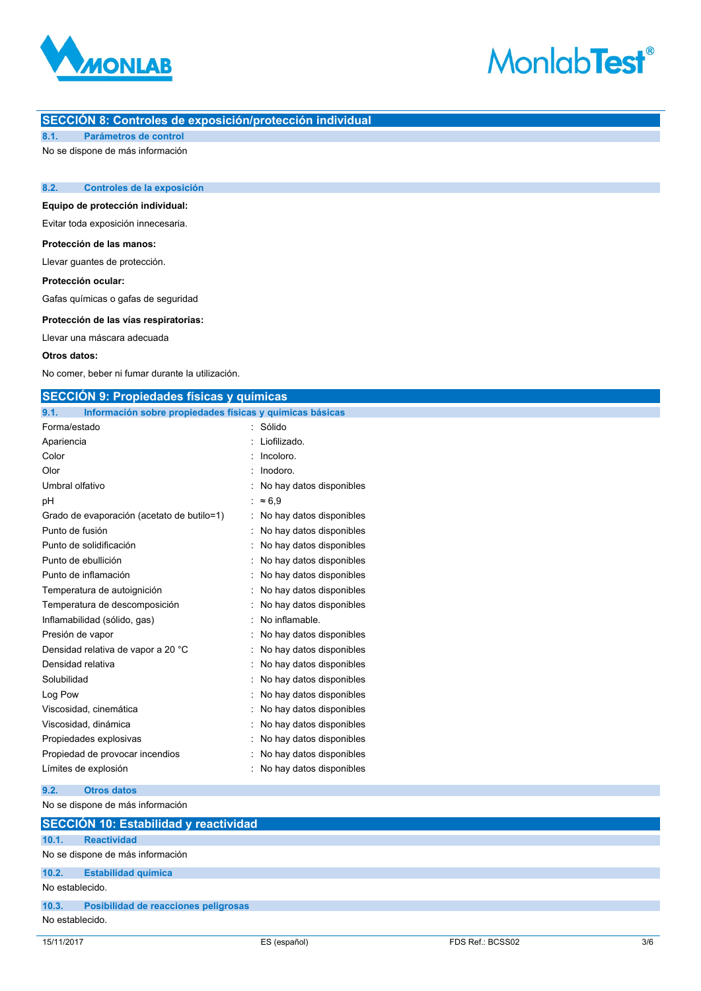

# **MonlabTest®**

# **SECCIÓN 8: Controles de exposición/protección individual**

**8.1. Parámetros de control**

No se dispone de más información

# **8.2. Controles de la exposición**

**Equipo de protección individual:**

Evitar toda exposición innecesaria.

# **Protección de las manos:**

Llevar guantes de protección.

### **Protección ocular:**

Gafas químicas o gafas de seguridad

### **Protección de las vías respiratorias:**

Llevar una máscara adecuada

#### **Otros datos:**

No comer, beber ni fumar durante la utilización.

| <b>SECCION 9: Propiedades físicas y químicas</b>                 |                            |  |
|------------------------------------------------------------------|----------------------------|--|
| Información sobre propiedades físicas y químicas básicas<br>9.1. |                            |  |
| Forma/estado                                                     | : Sólido                   |  |
| Apariencia                                                       | Liofilizado.               |  |
| Color                                                            | Incoloro.                  |  |
| Olor                                                             | Inodoro.                   |  |
| Umbral olfativo                                                  | : No hay datos disponibles |  |
| рH                                                               | : $\approx 6.9$            |  |
| Grado de evaporación (acetato de butilo=1)                       | : No hay datos disponibles |  |
| Punto de fusión                                                  | : No hay datos disponibles |  |
| Punto de solidificación                                          | No hay datos disponibles   |  |
| Punto de ebullición                                              | No hay datos disponibles   |  |
| Punto de inflamación                                             | No hay datos disponibles   |  |
| Temperatura de autoignición                                      | : No hay datos disponibles |  |
| Temperatura de descomposición                                    | No hay datos disponibles   |  |
| Inflamabilidad (sólido, gas)                                     | No inflamable.             |  |
| Presión de vapor                                                 | No hay datos disponibles   |  |
| Densidad relativa de vapor a 20 °C                               | No hay datos disponibles   |  |
| Densidad relativa                                                | : No hay datos disponibles |  |
| Solubilidad                                                      | : No hay datos disponibles |  |
| Log Pow                                                          | No hay datos disponibles   |  |
| Viscosidad, cinemática                                           | No hay datos disponibles   |  |
| Viscosidad, dinámica                                             | No hay datos disponibles   |  |
| Propiedades explosivas                                           | No hay datos disponibles   |  |
| Propiedad de provocar incendios                                  | : No hay datos disponibles |  |
| Límites de explosión                                             | : No hay datos disponibles |  |
| <b>Otros datos</b><br>9.2.                                       |                            |  |
| No se dispone de más información                                 |                            |  |

# 15/11/2017 ES (español) FDS Ref.: BCSS02 3/6 **SECCIÓN 10: Estabilidad y reactividad 10.1. Reactividad** No se dispone de más información **10.2. Estabilidad química** No establecido. **10.3. Posibilidad de reacciones peligrosas** No establecido.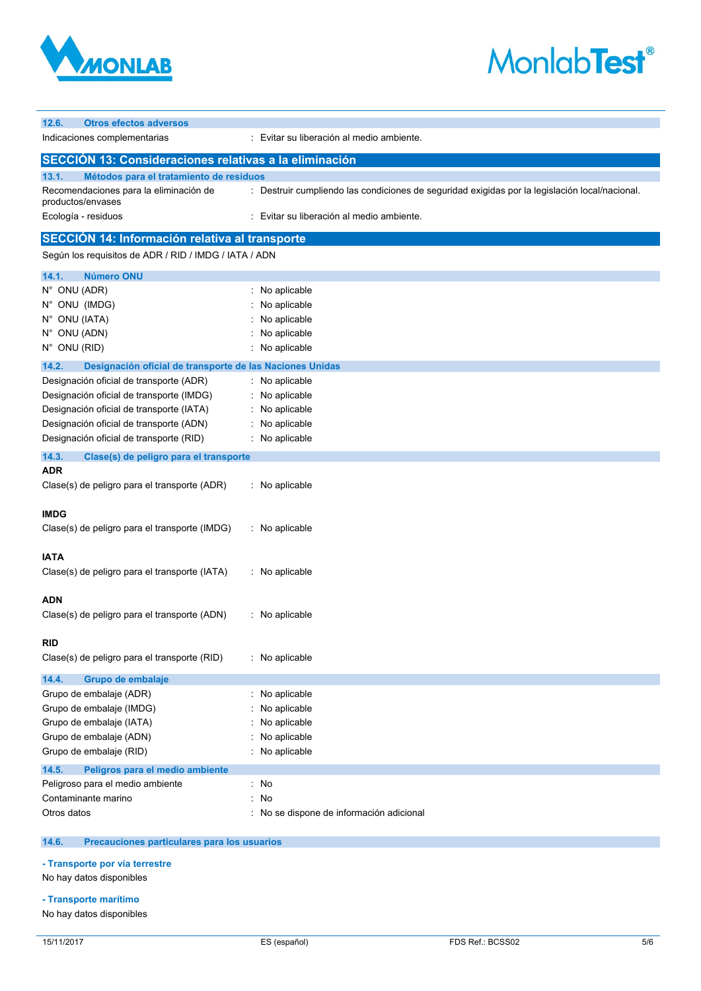

# **MonlabTest®**

| 12.6.<br><b>Otros efectos adversos</b>                            |                                                                                                |
|-------------------------------------------------------------------|------------------------------------------------------------------------------------------------|
| Indicaciones complementarias                                      | Evitar su liberación al medio ambiente.                                                        |
| SECCIÓN 13: Consideraciones relativas a la eliminación            |                                                                                                |
| 13.1.<br>Métodos para el tratamiento de residuos                  |                                                                                                |
| Recomendaciones para la eliminación de<br>productos/envases       | : Destruir cumpliendo las condiciones de seguridad exigidas por la legislación local/nacional. |
| Ecología - residuos                                               | : Evitar su liberación al medio ambiente.                                                      |
| <b>SECCION 14: Información relativa al transporte</b>             |                                                                                                |
| Según los requisitos de ADR / RID / IMDG / IATA / ADN             |                                                                                                |
| <b>Número ONU</b><br>14.1.                                        |                                                                                                |
| N° ONU (ADR)                                                      | : No aplicable                                                                                 |
| N° ONU (IMDG)                                                     | No aplicable                                                                                   |
| N° ONU (IATA)                                                     | No aplicable                                                                                   |
| N° ONU (ADN)                                                      | No aplicable                                                                                   |
| N° ONU (RID)                                                      | No aplicable                                                                                   |
| 14.2.<br>Designación oficial de transporte de las Naciones Unidas |                                                                                                |
| Designación oficial de transporte (ADR)                           | : No aplicable                                                                                 |
| Designación oficial de transporte (IMDG)                          | No aplicable                                                                                   |
| Designación oficial de transporte (IATA)                          | No aplicable                                                                                   |
| Designación oficial de transporte (ADN)                           | No aplicable                                                                                   |
| Designación oficial de transporte (RID)                           | : No aplicable                                                                                 |
| 14.3.<br>Clase(s) de peligro para el transporte                   |                                                                                                |
| ADR                                                               |                                                                                                |
| Clase(s) de peligro para el transporte (ADR)                      | No aplicable                                                                                   |
| IMDG                                                              |                                                                                                |
| Clase(s) de peligro para el transporte (IMDG)                     | No aplicable                                                                                   |
| <b>IATA</b>                                                       |                                                                                                |
| Clase(s) de peligro para el transporte (IATA)                     | No aplicable                                                                                   |
|                                                                   |                                                                                                |
| ADN                                                               |                                                                                                |
| Clase(s) de peligro para el transporte (ADN)                      | : No aplicable                                                                                 |
| <b>RID</b>                                                        |                                                                                                |
| Clase(s) de peligro para el transporte (RID)                      | : No aplicable                                                                                 |
|                                                                   |                                                                                                |
| 14.4.<br>Grupo de embalaje                                        |                                                                                                |
| Grupo de embalaje (ADR)                                           | No aplicable                                                                                   |
| Grupo de embalaje (IMDG)                                          | No aplicable                                                                                   |
| Grupo de embalaje (IATA)                                          | No aplicable                                                                                   |
| Grupo de embalaje (ADN)                                           | No aplicable                                                                                   |
| Grupo de embalaje (RID)                                           | No aplicable                                                                                   |
| 14.5.<br>Peligros para el medio ambiente                          |                                                                                                |
| Peligroso para el medio ambiente                                  | : No                                                                                           |
| Contaminante marino                                               | No                                                                                             |
| Otros datos                                                       | No se dispone de información adicional                                                         |
|                                                                   |                                                                                                |

#### $14.6.$ **14.6. Precauciones particulares para los usuarios**

**- Transporte por vía terrestre**

No hay datos disponibles

**- Transporte marítimo**

No hay datos disponibles